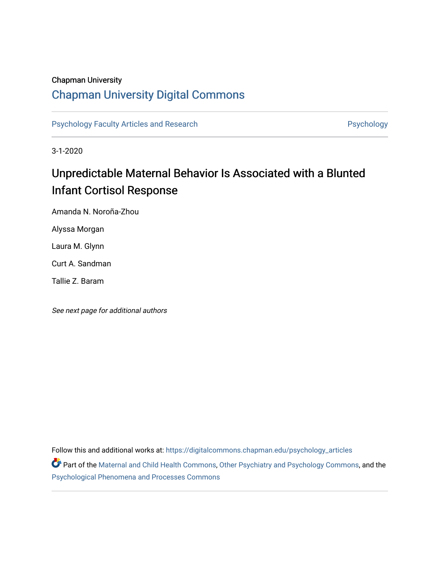## Chapman University

## [Chapman University Digital Commons](https://digitalcommons.chapman.edu/)

[Psychology Faculty Articles and Research](https://digitalcommons.chapman.edu/psychology_articles) **Psychology** Psychology

3-1-2020

# Unpredictable Maternal Behavior Is Associated with a Blunted Infant Cortisol Response

Amanda N. Noroña-Zhou

Alyssa Morgan

Laura M. Glynn

Curt A. Sandman

Tallie Z. Baram

See next page for additional authors

Follow this and additional works at: [https://digitalcommons.chapman.edu/psychology\\_articles](https://digitalcommons.chapman.edu/psychology_articles?utm_source=digitalcommons.chapman.edu%2Fpsychology_articles%2F279&utm_medium=PDF&utm_campaign=PDFCoverPages)

Part of the [Maternal and Child Health Commons,](http://network.bepress.com/hgg/discipline/745?utm_source=digitalcommons.chapman.edu%2Fpsychology_articles%2F279&utm_medium=PDF&utm_campaign=PDFCoverPages) [Other Psychiatry and Psychology Commons,](http://network.bepress.com/hgg/discipline/992?utm_source=digitalcommons.chapman.edu%2Fpsychology_articles%2F279&utm_medium=PDF&utm_campaign=PDFCoverPages) and the [Psychological Phenomena and Processes Commons](http://network.bepress.com/hgg/discipline/914?utm_source=digitalcommons.chapman.edu%2Fpsychology_articles%2F279&utm_medium=PDF&utm_campaign=PDFCoverPages)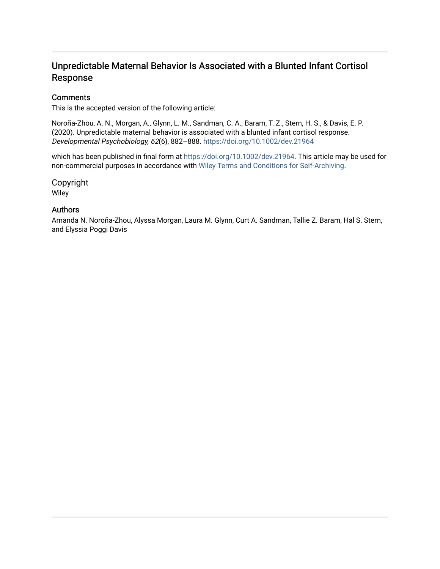## Unpredictable Maternal Behavior Is Associated with a Blunted Infant Cortisol Response

## **Comments**

This is the accepted version of the following article:

Noroña-Zhou, A. N., Morgan, A., Glynn, L. M., Sandman, C. A., Baram, T. Z., Stern, H. S., & Davis, E. P. (2020). Unpredictable maternal behavior is associated with a blunted infant cortisol response. Developmental Psychobiology, 62(6), 882–888. <https://doi.org/10.1002/dev.21964>

which has been published in final form at [https://doi.org/10.1002/dev.21964.](https://doi.org/10.1002/dev.21964) This article may be used for non-commercial purposes in accordance with [Wiley Terms and Conditions for Self-Archiving](http://olabout.wiley.com/WileyCDA/Section/id-820227.html#terms).

Copyright Wiley

## Authors

Amanda N. Noroña-Zhou, Alyssa Morgan, Laura M. Glynn, Curt A. Sandman, Tallie Z. Baram, Hal S. Stern, and Elyssia Poggi Davis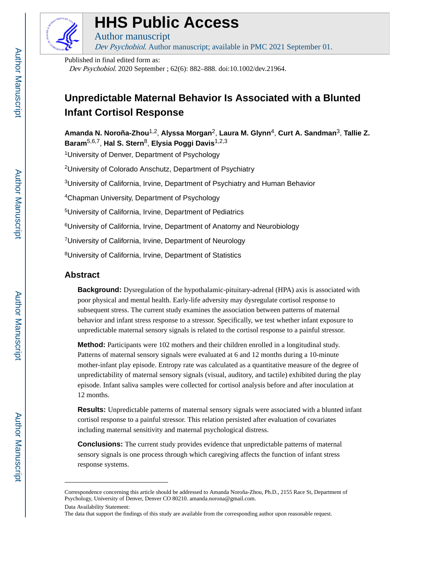

# **HHS Public Access**

Dev Psychobiol. Author manuscript; available in PMC 2021 September 01.

Published in final edited form as:

Author manuscript

Dev Psychobiol. 2020 September ; 62(6): 882–888. doi:10.1002/dev.21964.

# **Unpredictable Maternal Behavior Is Associated with a Blunted Infant Cortisol Response**

**Amanda N. Noroña-Zhou**1,2, **Alyssa Morgan**2, **Laura M. Glynn**4, **Curt A. Sandman**3, **Tallie Z. Baram**5,6,7, **Hal S. Stern**8, **Elysia Poggi Davis**1,2,3

<sup>1</sup>University of Denver, Department of Psychology

<sup>2</sup>University of Colorado Anschutz, Department of Psychiatry

<sup>3</sup>University of California, Irvine, Department of Psychiatry and Human Behavior

<sup>4</sup>Chapman University, Department of Psychology

<sup>5</sup>University of California, Irvine, Department of Pediatrics

<sup>6</sup>University of California, Irvine, Department of Anatomy and Neurobiology

<sup>7</sup>University of California, Irvine, Department of Neurology

<sup>8</sup>University of California, Irvine, Department of Statistics

## **Abstract**

**Background:** Dysregulation of the hypothalamic-pituitary-adrenal (HPA) axis is associated with poor physical and mental health. Early-life adversity may dysregulate cortisol response to subsequent stress. The current study examines the association between patterns of maternal behavior and infant stress response to a stressor. Specifically, we test whether infant exposure to unpredictable maternal sensory signals is related to the cortisol response to a painful stressor.

**Method:** Participants were 102 mothers and their children enrolled in a longitudinal study. Patterns of maternal sensory signals were evaluated at 6 and 12 months during a 10-minute mother-infant play episode. Entropy rate was calculated as a quantitative measure of the degree of unpredictability of maternal sensory signals (visual, auditory, and tactile) exhibited during the play episode. Infant saliva samples were collected for cortisol analysis before and after inoculation at 12 months.

**Results:** Unpredictable patterns of maternal sensory signals were associated with a blunted infant cortisol response to a painful stressor. This relation persisted after evaluation of covariates including maternal sensitivity and maternal psychological distress.

**Conclusions:** The current study provides evidence that unpredictable patterns of maternal sensory signals is one process through which caregiving affects the function of infant stress response systems.

Correspondence concerning this article should be addressed to Amanda Noroña-Zhou, Ph.D., 2155 Race St, Department of Psychology, University of Denver, Denver CO 80210. amanda.norona@gmail.com.

Data Availability Statement:

The data that support the findings of this study are available from the corresponding author upon reasonable request.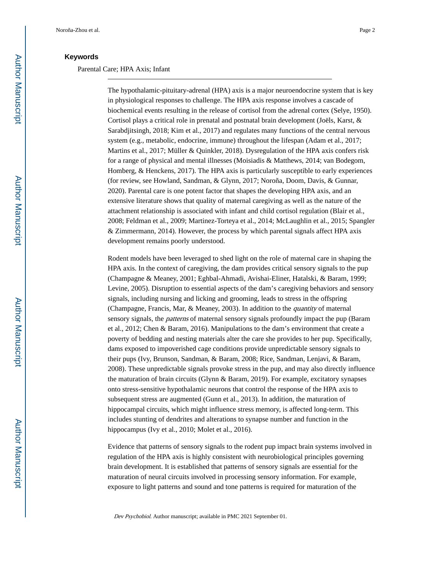## **Keywords**

#### Parental Care; HPA Axis; Infant

The hypothalamic-pituitary-adrenal (HPA) axis is a major neuroendocrine system that is key in physiological responses to challenge. The HPA axis response involves a cascade of biochemical events resulting in the release of cortisol from the adrenal cortex (Selye, 1950). Cortisol plays a critical role in prenatal and postnatal brain development (Joëls, Karst, & Sarabdjitsingh, 2018; Kim et al., 2017) and regulates many functions of the central nervous system (e.g., metabolic, endocrine, immune) throughout the lifespan (Adam et al., 2017; Martins et al., 2017; Müller & Quinkler, 2018). Dysregulation of the HPA axis confers risk for a range of physical and mental illnesses (Moisiadis & Matthews, 2014; van Bodegom, Homberg, & Henckens, 2017). The HPA axis is particularly susceptible to early experiences (for review, see Howland, Sandman, & Glynn, 2017; Noroña, Doom, Davis, & Gunnar, 2020). Parental care is one potent factor that shapes the developing HPA axis, and an extensive literature shows that quality of maternal caregiving as well as the nature of the attachment relationship is associated with infant and child cortisol regulation (Blair et al., 2008; Feldman et al., 2009; Martinez-Torteya et al., 2014; McLaughlin et al., 2015; Spangler & Zimmermann, 2014). However, the process by which parental signals affect HPA axis development remains poorly understood.

Rodent models have been leveraged to shed light on the role of maternal care in shaping the HPA axis. In the context of caregiving, the dam provides critical sensory signals to the pup (Champagne & Meaney, 2001; Eghbal-Ahmadi, Avishai-Eliner, Hatalski, & Baram, 1999; Levine, 2005). Disruption to essential aspects of the dam's caregiving behaviors and sensory signals, including nursing and licking and grooming, leads to stress in the offspring (Champagne, Francis, Mar, & Meaney, 2003). In addition to the *quantity* of maternal sensory signals, the *patterns* of maternal sensory signals profoundly impact the pup (Baram et al., 2012; Chen & Baram, 2016). Manipulations to the dam's environment that create a poverty of bedding and nesting materials alter the care she provides to her pup. Specifically, dams exposed to impoverished cage conditions provide unpredictable sensory signals to their pups (Ivy, Brunson, Sandman, & Baram, 2008; Rice, Sandman, Lenjavi, & Baram, 2008). These unpredictable signals provoke stress in the pup, and may also directly influence the maturation of brain circuits (Glynn & Baram, 2019). For example, excitatory synapses onto stress-sensitive hypothalamic neurons that control the response of the HPA axis to subsequent stress are augmented (Gunn et al., 2013). In addition, the maturation of hippocampal circuits, which might influence stress memory, is affected long-term. This includes stunting of dendrites and alterations to synapse number and function in the hippocampus (Ivy et al., 2010; Molet et al., 2016).

Evidence that patterns of sensory signals to the rodent pup impact brain systems involved in regulation of the HPA axis is highly consistent with neurobiological principles governing brain development. It is established that patterns of sensory signals are essential for the maturation of neural circuits involved in processing sensory information. For example, exposure to light patterns and sound and tone patterns is required for maturation of the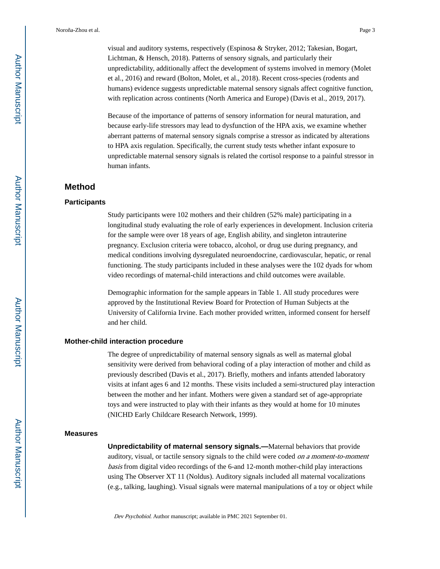visual and auditory systems, respectively (Espinosa & Stryker, 2012; Takesian, Bogart, Lichtman, & Hensch, 2018). Patterns of sensory signals, and particularly their unpredictability, additionally affect the development of systems involved in memory (Molet et al., 2016) and reward (Bolton, Molet, et al., 2018). Recent cross-species (rodents and humans) evidence suggests unpredictable maternal sensory signals affect cognitive function, with replication across continents (North America and Europe) (Davis et al., 2019, 2017).

Because of the importance of patterns of sensory information for neural maturation, and because early-life stressors may lead to dysfunction of the HPA axis, we examine whether aberrant patterns of maternal sensory signals comprise a stressor as indicated by alterations to HPA axis regulation. Specifically, the current study tests whether infant exposure to unpredictable maternal sensory signals is related the cortisol response to a painful stressor in human infants.

## **Method**

#### **Participants**

Study participants were 102 mothers and their children (52% male) participating in a longitudinal study evaluating the role of early experiences in development. Inclusion criteria for the sample were over 18 years of age, English ability, and singleton intrauterine pregnancy. Exclusion criteria were tobacco, alcohol, or drug use during pregnancy, and medical conditions involving dysregulated neuroendocrine, cardiovascular, hepatic, or renal functioning. The study participants included in these analyses were the 102 dyads for whom video recordings of maternal-child interactions and child outcomes were available.

Demographic information for the sample appears in Table 1. All study procedures were approved by the Institutional Review Board for Protection of Human Subjects at the University of California Irvine. Each mother provided written, informed consent for herself and her child.

#### **Mother-child interaction procedure**

The degree of unpredictability of maternal sensory signals as well as maternal global sensitivity were derived from behavioral coding of a play interaction of mother and child as previously described (Davis et al., 2017). Briefly, mothers and infants attended laboratory visits at infant ages 6 and 12 months. These visits included a semi-structured play interaction between the mother and her infant. Mothers were given a standard set of age-appropriate toys and were instructed to play with their infants as they would at home for 10 minutes (NICHD Early Childcare Research Network, 1999).

#### **Measures**

**Unpredictability of maternal sensory signals.—**Maternal behaviors that provide auditory, visual, or tactile sensory signals to the child were coded on a moment-to-moment basis from digital video recordings of the 6-and 12-month mother-child play interactions using The Observer XT 11 (Noldus). Auditory signals included all maternal vocalizations (e.g., talking, laughing). Visual signals were maternal manipulations of a toy or object while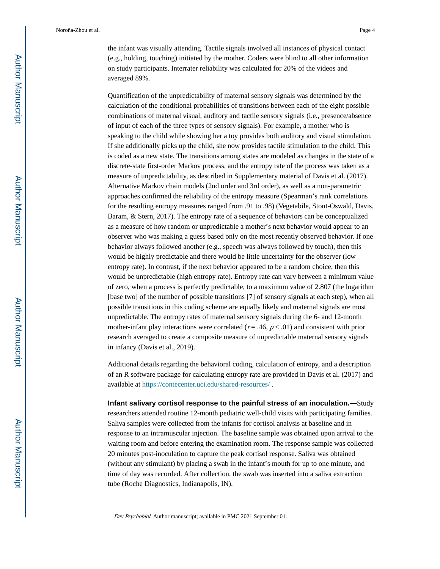the infant was visually attending. Tactile signals involved all instances of physical contact (e.g., holding, touching) initiated by the mother. Coders were blind to all other information on study participants. Interrater reliability was calculated for 20% of the videos and averaged 89%.

Quantification of the unpredictability of maternal sensory signals was determined by the calculation of the conditional probabilities of transitions between each of the eight possible combinations of maternal visual, auditory and tactile sensory signals (i.e., presence/absence of input of each of the three types of sensory signals). For example, a mother who is speaking to the child while showing her a toy provides both auditory and visual stimulation. If she additionally picks up the child, she now provides tactile stimulation to the child. This is coded as a new state. The transitions among states are modeled as changes in the state of a discrete-state first-order Markov process, and the entropy rate of the process was taken as a measure of unpredictability, as described in Supplementary material of Davis et al. (2017). Alternative Markov chain models (2nd order and 3rd order), as well as a non-parametric approaches confirmed the reliability of the entropy measure (Spearman's rank correlations for the resulting entropy measures ranged from .91 to .98) (Vegetabile, Stout-Oswald, Davis, Baram, & Stern, 2017). The entropy rate of a sequence of behaviors can be conceptualized as a measure of how random or unpredictable a mother's next behavior would appear to an observer who was making a guess based only on the most recently observed behavior. If one behavior always followed another (e.g., speech was always followed by touch), then this would be highly predictable and there would be little uncertainty for the observer (low entropy rate). In contrast, if the next behavior appeared to be a random choice, then this would be unpredictable (high entropy rate). Entropy rate can vary between a minimum value of zero, when a process is perfectly predictable, to a maximum value of 2.807 (the logarithm [base two] of the number of possible transitions [7] of sensory signals at each step), when all possible transitions in this coding scheme are equally likely and maternal signals are most unpredictable. The entropy rates of maternal sensory signals during the 6- and 12-month mother-infant play interactions were correlated ( $r = .46$ ,  $p < .01$ ) and consistent with prior research averaged to create a composite measure of unpredictable maternal sensory signals in infancy (Davis et al., 2019).

Additional details regarding the behavioral coding, calculation of entropy, and a description of an R software package for calculating entropy rate are provided in Davis et al. (2017) and available at <https://contecenter.uci.edu/shared-resources/>.

**Infant salivary cortisol response to the painful stress of an inoculation.—**Study researchers attended routine 12-month pediatric well-child visits with participating families. Saliva samples were collected from the infants for cortisol analysis at baseline and in response to an intramuscular injection. The baseline sample was obtained upon arrival to the waiting room and before entering the examination room. The response sample was collected 20 minutes post-inoculation to capture the peak cortisol response. Saliva was obtained (without any stimulant) by placing a swab in the infant's mouth for up to one minute, and time of day was recorded. After collection, the swab was inserted into a saliva extraction tube (Roche Diagnostics, Indianapolis, IN).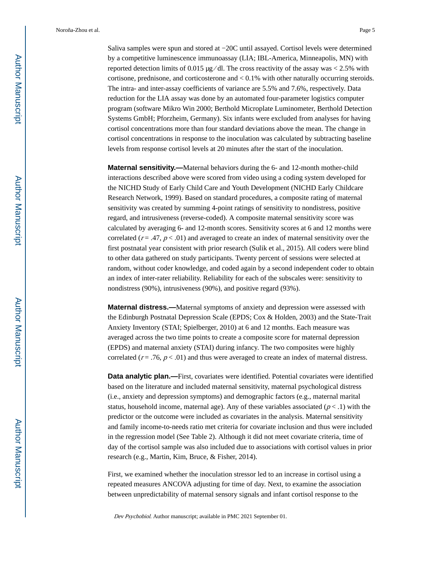Saliva samples were spun and stored at −20C until assayed. Cortisol levels were determined by a competitive luminescence immunoassay (LIA; IBL-America, Minneapolis, MN) with reported detection limits of 0.015  $\mu$ g/dl. The cross reactivity of the assay was < 2.5% with cortisone, prednisone, and corticosterone and < 0.1% with other naturally occurring steroids. The intra- and inter-assay coefficients of variance are 5.5% and 7.6%, respectively. Data reduction for the LIA assay was done by an automated four-parameter logistics computer program (software Mikro Win 2000; Berthold Microplate Luminometer, Berthold Detection Systems GmbH; Pforzheim, Germany). Six infants were excluded from analyses for having cortisol concentrations more than four standard deviations above the mean. The change in cortisol concentrations in response to the inoculation was calculated by subtracting baseline levels from response cortisol levels at 20 minutes after the start of the inoculation.

**Maternal sensitivity.—**Maternal behaviors during the 6- and 12-month mother-child interactions described above were scored from video using a coding system developed for the NICHD Study of Early Child Care and Youth Development (NICHD Early Childcare Research Network, 1999). Based on standard procedures, a composite rating of maternal sensitivity was created by summing 4-point ratings of sensitivity to nondistress, positive regard, and intrusiveness (reverse-coded). A composite maternal sensitivity score was calculated by averaging 6- and 12-month scores. Sensitivity scores at 6 and 12 months were correlated  $(r = .47, p < .01)$  and averaged to create an index of maternal sensitivity over the first postnatal year consistent with prior research (Sulik et al., 2015). All coders were blind to other data gathered on study participants. Twenty percent of sessions were selected at random, without coder knowledge, and coded again by a second independent coder to obtain an index of inter-rater reliability. Reliability for each of the subscales were: sensitivity to nondistress (90%), intrusiveness (90%), and positive regard (93%).

**Maternal distress.—**Maternal symptoms of anxiety and depression were assessed with the Edinburgh Postnatal Depression Scale (EPDS; Cox & Holden, 2003) and the State-Trait Anxiety Inventory (STAI; Spielberger, 2010) at 6 and 12 months. Each measure was averaged across the two time points to create a composite score for maternal depression (EPDS) and maternal anxiety (STAI) during infancy. The two composites were highly correlated ( $r = .76$ ,  $p < .01$ ) and thus were averaged to create an index of maternal distress.

**Data analytic plan.**—First, covariates were identified. Potential covariates were identified based on the literature and included maternal sensitivity, maternal psychological distress (i.e., anxiety and depression symptoms) and demographic factors (e.g., maternal marital status, household income, maternal age). Any of these variables associated ( $p < .1$ ) with the predictor or the outcome were included as covariates in the analysis. Maternal sensitivity and family income-to-needs ratio met criteria for covariate inclusion and thus were included in the regression model (See Table 2). Although it did not meet covariate criteria, time of day of the cortisol sample was also included due to associations with cortisol values in prior research (e.g., Martin, Kim, Bruce, & Fisher, 2014).

First, we examined whether the inoculation stressor led to an increase in cortisol using a repeated measures ANCOVA adjusting for time of day. Next, to examine the association between unpredictability of maternal sensory signals and infant cortisol response to the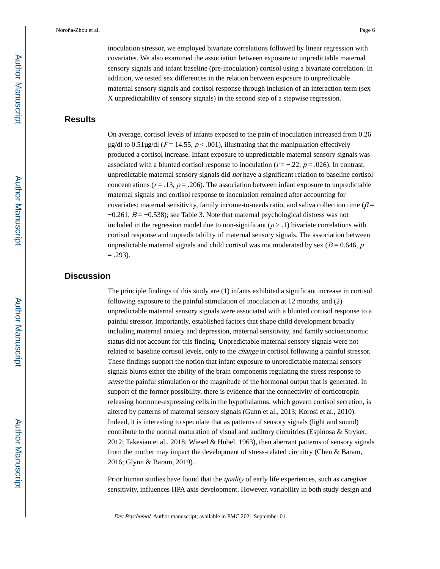inoculation stressor, we employed bivariate correlations followed by linear regression with covariates. We also examined the association between exposure to unpredictable maternal sensory signals and infant baseline (pre-inoculation) cortisol using a bivariate correlation. In addition, we tested sex differences in the relation between exposure to unpredictable maternal sensory signals and cortisol response through inclusion of an interaction term (sex X unpredictability of sensory signals) in the second step of a stepwise regression.

## **Results**

On average, cortisol levels of infants exposed to the pain of inoculation increased from 0.26  $\mu$ g/dl to 0.51 $\mu$ g/dl (F = 14.55, p < .001), illustrating that the manipulation effectively produced a cortisol increase. Infant exposure to unpredictable maternal sensory signals was associated with a blunted cortisol response to inoculation ( $r = -0.22$ ,  $p = 0.026$ ). In contrast, unpredictable maternal sensory signals did not have a significant relation to baseline cortisol concentrations ( $r = .13$ ,  $p = .206$ ). The association between infant exposure to unpredictable maternal signals and cortisol response to inoculation remained after accounting for covariates: maternal sensitivity, family income-to-needs ratio, and saliva collection time ( $\beta$  =  $-0.261$ ,  $B = -0.538$ ); see Table 3. Note that maternal psychological distress was not included in the regression model due to non-significant  $(p > .1)$  bivariate correlations with cortisol response and unpredictability of maternal sensory signals. The association between unpredictable maternal signals and child cortisol was not moderated by sex ( $B = 0.646$ , p  $= .293$ ).

## **Discussion**

The principle findings of this study are (1) infants exhibited a significant increase in cortisol following exposure to the painful stimulation of inoculation at 12 months, and (2) unpredictable maternal sensory signals were associated with a blunted cortisol response to a painful stressor. Importantly, established factors that shape child development broadly including maternal anxiety and depression, maternal sensitivity, and family socioeconomic status did not account for this finding. Unpredictable maternal sensory signals were not related to baseline cortisol levels, only to the change in cortisol following a painful stressor. These findings support the notion that infant exposure to unpredictable maternal sensory signals blunts either the ability of the brain components regulating the stress response to sense the painful stimulation or the magnitude of the hormonal output that is generated. In support of the former possibility, there is evidence that the connectivity of corticotropin releasing hormone-expressing cells in the hypothalamus, which govern cortisol secretion, is altered by patterns of maternal sensory signals (Gunn et al., 2013; Korosi et al., 2010). Indeed, it is interesting to speculate that as patterns of sensory signals (light and sound) contribute to the normal maturation of visual and auditory circuitries (Espinosa & Stryker, 2012; Takesian et al., 2018; Wiesel & Hubel, 1963), then aberrant patterns of sensory signals from the mother may impact the development of stress-related circuitry (Chen & Baram, 2016; Glynn & Baram, 2019).

Prior human studies have found that the *quality* of early life experiences, such as caregiver sensitivity, influences HPA axis development. However, variability in both study design and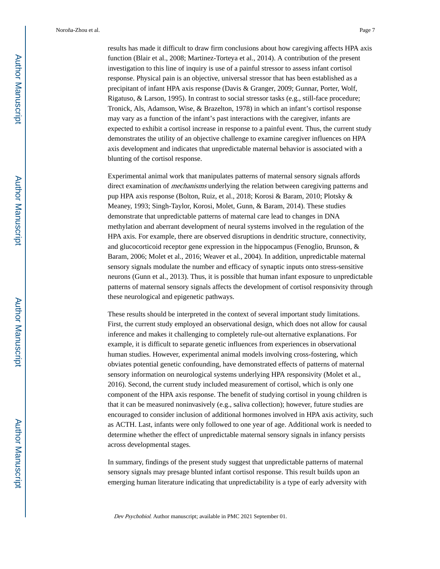results has made it difficult to draw firm conclusions about how caregiving affects HPA axis function (Blair et al., 2008; Martinez-Torteya et al., 2014). A contribution of the present investigation to this line of inquiry is use of a painful stressor to assess infant cortisol response. Physical pain is an objective, universal stressor that has been established as a precipitant of infant HPA axis response (Davis & Granger, 2009; Gunnar, Porter, Wolf, Rigatuso, & Larson, 1995). In contrast to social stressor tasks (e.g., still-face procedure; Tronick, Als, Adamson, Wise, & Brazelton, 1978) in which an infant's cortisol response may vary as a function of the infant's past interactions with the caregiver, infants are

expected to exhibit a cortisol increase in response to a painful event. Thus, the current study demonstrates the utility of an objective challenge to examine caregiver influences on HPA axis development and indicates that unpredictable maternal behavior is associated with a blunting of the cortisol response.

Experimental animal work that manipulates patterns of maternal sensory signals affords direct examination of *mechanisms* underlying the relation between caregiving patterns and pup HPA axis response (Bolton, Ruiz, et al., 2018; Korosi & Baram, 2010; Plotsky & Meaney, 1993; Singh-Taylor, Korosi, Molet, Gunn, & Baram, 2014). These studies demonstrate that unpredictable patterns of maternal care lead to changes in DNA methylation and aberrant development of neural systems involved in the regulation of the HPA axis. For example, there are observed disruptions in dendritic structure, connectivity, and glucocorticoid receptor gene expression in the hippocampus (Fenoglio, Brunson, & Baram, 2006; Molet et al., 2016; Weaver et al., 2004). In addition, unpredictable maternal sensory signals modulate the number and efficacy of synaptic inputs onto stress-sensitive neurons (Gunn et al., 2013). Thus, it is possible that human infant exposure to unpredictable patterns of maternal sensory signals affects the development of cortisol responsivity through these neurological and epigenetic pathways.

These results should be interpreted in the context of several important study limitations. First, the current study employed an observational design, which does not allow for causal inference and makes it challenging to completely rule-out alternative explanations. For example, it is difficult to separate genetic influences from experiences in observational human studies. However, experimental animal models involving cross-fostering, which obviates potential genetic confounding, have demonstrated effects of patterns of maternal sensory information on neurological systems underlying HPA responsivity (Molet et al., 2016). Second, the current study included measurement of cortisol, which is only one component of the HPA axis response. The benefit of studying cortisol in young children is that it can be measured noninvasively (e.g., saliva collection); however, future studies are encouraged to consider inclusion of additional hormones involved in HPA axis activity, such as ACTH. Last, infants were only followed to one year of age. Additional work is needed to determine whether the effect of unpredictable maternal sensory signals in infancy persists across developmental stages.

In summary, findings of the present study suggest that unpredictable patterns of maternal sensory signals may presage blunted infant cortisol response. This result builds upon an emerging human literature indicating that unpredictability is a type of early adversity with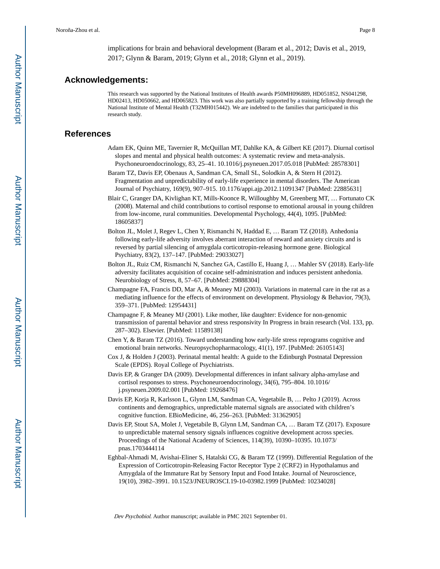implications for brain and behavioral development (Baram et al., 2012; Davis et al., 2019, 2017; Glynn & Baram, 2019; Glynn et al., 2018; Glynn et al., 2019).

#### **Acknowledgements:**

This research was supported by the National Institutes of Health awards P50MH096889, HD051852, NS041298, HD02413, HD050662, and HD065823. This work was also partially supported by a training fellowship through the National Institute of Mental Health (T32MH015442). We are indebted to the families that participated in this research study.

#### **References**

- Adam EK, Quinn ME, Tavernier R, McQuillan MT, Dahlke KA, & Gilbert KE (2017). Diurnal cortisol slopes and mental and physical health outcomes: A systematic review and meta-analysis. Psychoneuroendocrinology, 83, 25–41. 10.1016/j.psyneuen.2017.05.018 [PubMed: 28578301]
- Baram TZ, Davis EP, Obenaus A, Sandman CA, Small SL, Solodkin A, & Stern H (2012). Fragmentation and unpredictability of early-life experience in mental disorders. The American Journal of Psychiatry, 169(9), 907–915. 10.1176/appi.ajp.2012.11091347 [PubMed: 22885631]
- Blair C, Granger DA, Kivlighan KT, Mills-Koonce R, Willoughby M, Greenberg MT, … Fortunato CK (2008). Maternal and child contributions to cortisol response to emotional arousal in young children from low-income, rural communities. Developmental Psychology, 44(4), 1095. [PubMed: 18605837]
- Bolton JL, Molet J, Regev L, Chen Y, Rismanchi N, Haddad E, … Baram TZ (2018). Anhedonia following early-life adversity involves aberrant interaction of reward and anxiety circuits and is reversed by partial silencing of amygdala corticotropin-releasing hormone gene. Biological Psychiatry, 83(2), 137–147. [PubMed: 29033027]
- Bolton JL, Ruiz CM, Rismanchi N, Sanchez GA, Castillo E, Huang J, … Mahler SV (2018). Early-life adversity facilitates acquisition of cocaine self-administration and induces persistent anhedonia. Neurobiology of Stress, 8, 57–67. [PubMed: 29888304]
- Champagne FA, Francis DD, Mar A, & Meaney MJ (2003). Variations in maternal care in the rat as a mediating influence for the effects of environment on development. Physiology & Behavior, 79(3), 359–371. [PubMed: 12954431]
- Champagne F, & Meaney MJ (2001). Like mother, like daughter: Evidence for non-genomic transmission of parental behavior and stress responsivity In Progress in brain research (Vol. 133, pp. 287–302). Elsevier. [PubMed: 11589138]
- Chen Y, & Baram TZ (2016). Toward understanding how early-life stress reprograms cognitive and emotional brain networks. Neuropsychopharmacology, 41(1), 197. [PubMed: 26105143]
- Cox J, & Holden J (2003). Perinatal mental health: A guide to the Edinburgh Postnatal Depression Scale (EPDS). Royal College of Psychiatrists.
- Davis EP, & Granger DA (2009). Developmental differences in infant salivary alpha-amylase and cortisol responses to stress. Psychoneuroendocrinology, 34(6), 795–804. 10.1016/ j.psyneuen.2009.02.001 [PubMed: 19268476]
- Davis EP, Korja R, Karlsson L, Glynn LM, Sandman CA, Vegetabile B, … Pelto J (2019). Across continents and demographics, unpredictable maternal signals are associated with children's cognitive function. EBioMedicine, 46, 256–263. [PubMed: 31362905]
- Davis EP, Stout SA, Molet J, Vegetabile B, Glynn LM, Sandman CA, … Baram TZ (2017). Exposure to unpredictable maternal sensory signals influences cognitive development across species. Proceedings of the National Academy of Sciences, 114(39), 10390–10395. 10.1073/ pnas.1703444114
- Eghbal-Ahmadi M, Avishai-Eliner S, Hatalski CG, & Baram TZ (1999). Differential Regulation of the Expression of Corticotropin-Releasing Factor Receptor Type 2 (CRF2) in Hypothalamus and Amygdala of the Immature Rat by Sensory Input and Food Intake. Journal of Neuroscience, 19(10), 3982–3991. 10.1523/JNEUROSCI.19-10-03982.1999 [PubMed: 10234028]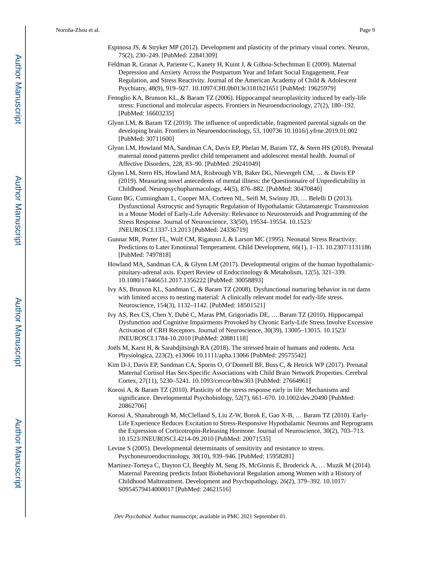- Espinosa JS, & Stryker MP (2012). Development and plasticity of the primary visual cortex. Neuron, 75(2), 230–249. [PubMed: 22841309]
- Feldman R, Granat A, Pariente C, Kanety H, Kuint J, & Gilboa-Schechtman E (2009). Maternal Depression and Anxiety Across the Postpartum Year and Infant Social Engagement, Fear Regulation, and Stress Reactivity. Journal of the American Academy of Child & Adolescent Psychiatry, 48(9), 919–927. 10.1097/CHI.0b013e3181b21651 [PubMed: 19625979]
- Fenoglio KA, Brunson KL, & Baram TZ (2006). Hippocampal neuroplasticity induced by early-life stress: Functional and molecular aspects. Frontiers in Neuroendocrinology, 27(2), 180–192. [PubMed: 16603235]
- Glynn LM, & Baram TZ (2019). The influence of unpredictable, fragmented parental signals on the developing brain. Frontiers in Neuroendocrinology, 53, 100736 10.1016/j.yfrne.2019.01.002 [PubMed: 30711600]
- Glynn LM, Howland MA, Sandman CA, Davis EP, Phelan M, Baram TZ, & Stern HS (2018). Prenatal maternal mood patterns predict child temperament and adolescent mental health. Journal of Affective Disorders, 228, 83–90. [PubMed: 29241049]
- Glynn LM, Stern HS, Howland MA, Risbrough VB, Baker DG, Nievergelt CM, … & Davis EP (2019). Measuring novel antecedents of mental illness: the Questionnaire of Unpredictability in Childhood. Neuropsychopharmacology, 44(5), 876–882. [PubMed: 30470840]
- Gunn BG, Cunningham L, Cooper MA, Corteen NL, Seifi M, Swinny JD, … Belelli D (2013). Dysfunctional Astrocytic and Synaptic Regulation of Hypothalamic Glutamatergic Transmission in a Mouse Model of Early-Life Adversity: Relevance to Neurosteroids and Programming of the Stress Response. Journal of Neuroscience, 33(50), 19534–19554. 10.1523/ JNEUROSCI.1337-13.2013 [PubMed: 24336719]
- Gunnar MR, Porter FL, Wolf CM, Rigatuso J, & Larson MC (1995). Neonatal Stress Reactivity: Predictions to Later Emotional Temperament. Child Development, 66(1), 1–13. 10.2307/1131186 [PubMed: 7497818]
- Howland MA, Sandman CA, & Glynn LM (2017). Developmental origins of the human hypothalamicpituitary-adrenal axis. Expert Review of Endocrinology & Metabolism, 12(5), 321–339. 10.1080/17446651.2017.1356222 [PubMed: 30058893]
- Ivy AS, Brunson KL, Sandman C, & Baram TZ (2008). Dysfunctional nurturing behavior in rat dams with limited access to nesting material: A clinically relevant model for early-life stress. Neuroscience, 154(3), 1132–1142. [PubMed: 18501521]
- Ivy AS, Rex CS, Chen Y, Dubé C, Maras PM, Grigoriadis DE, … Baram TZ (2010). Hippocampal Dysfunction and Cognitive Impairments Provoked by Chronic Early-Life Stress Involve Excessive Activation of CRH Receptors. Journal of Neuroscience, 30(39), 13005–13015. 10.1523/ JNEUROSCI.1784-10.2010 [PubMed: 20881118]
- Joëls M, Karst H, & Sarabdjitsingh RA (2018). The stressed brain of humans and rodents. Acta Physiologica, 223(2), e13066 10.1111/apha.13066 [PubMed: 29575542]
- Kim D-J, Davis EP, Sandman CA, Sporns O, O'Donnell BF, Buss C, & Hetrick WP (2017). Prenatal Maternal Cortisol Has Sex-Specific Associations with Child Brain Network Properties. Cerebral Cortex, 27(11), 5230–5241. 10.1093/cercor/bhw303 [PubMed: 27664961]
- Korosi A, & Baram TZ (2010). Plasticity of the stress response early in life: Mechanisms and significance. Developmental Psychobiology, 52(7), 661–670. 10.1002/dev.20490 [PubMed: 20862706]
- Korosi A, Shanabrough M, McClelland S, Liu Z-W, Borok E, Gao X-B, … Baram TZ (2010). Early-Life Experience Reduces Excitation to Stress-Responsive Hypothalamic Neurons and Reprograms the Expression of Corticotropin-Releasing Hormone. Journal of Neuroscience, 30(2), 703–713. 10.1523/JNEUROSCI.4214-09.2010 [PubMed: 20071535]
- Levine S (2005). Developmental determinants of sensitivity and resistance to stress. Psychoneuroendocrinology, 30(10), 939–946. [PubMed: 15958281]
- Martinez-Torteya C, Dayton CJ, Beeghly M, Seng JS, McGinnis E, Broderick A, … Muzik M (2014). Maternal Parenting predicts Infant Biobehavioral Regulation among Women with a History of Childhood Maltreatment. Development and Psychopathology, 26(2), 379–392. 10.1017/ S0954579414000017 [PubMed: 24621516]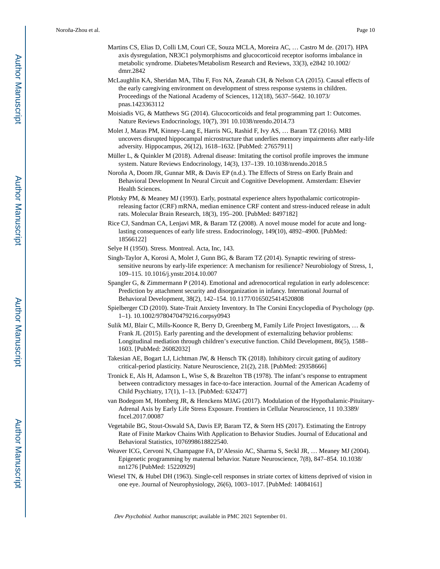- Martins CS, Elias D, Colli LM, Couri CE, Souza MCLA, Moreira AC, … Castro M de. (2017). HPA axis dysregulation, NR3C1 polymorphisms and glucocorticoid receptor isoforms imbalance in metabolic syndrome. Diabetes/Metabolism Research and Reviews, 33(3), e2842 10.1002/ dmrr.2842
- McLaughlin KA, Sheridan MA, Tibu F, Fox NA, Zeanah CH, & Nelson CA (2015). Causal effects of the early caregiving environment on development of stress response systems in children. Proceedings of the National Academy of Sciences, 112(18), 5637–5642. 10.1073/ pnas.1423363112
- Moisiadis VG, & Matthews SG (2014). Glucocorticoids and fetal programming part 1: Outcomes. Nature Reviews Endocrinology, 10(7), 391 10.1038/nrendo.2014.73
- Molet J, Maras PM, Kinney-Lang E, Harris NG, Rashid F, Ivy AS, … Baram TZ (2016). MRI uncovers disrupted hippocampal microstructure that underlies memory impairments after early-life adversity. Hippocampus, 26(12), 1618–1632. [PubMed: 27657911]
- Müller L, & Quinkler M (2018). Adrenal disease: Imitating the cortisol profile improves the immune system. Nature Reviews Endocrinology, 14(3), 137–139. 10.1038/nrendo.2018.5
- Noroña A, Doom JR, Gunnar MR, & Davis EP (n.d.). The Effects of Stress on Early Brain and Behavioral Development In Neural Circuit and Cognitive Development. Amsterdam: Elsevier Health Sciences.
- Plotsky PM, & Meaney MJ (1993). Early, postnatal experience alters hypothalamic corticotropinreleasing factor (CRF) mRNA, median eminence CRF content and stress-induced release in adult rats. Molecular Brain Research, 18(3), 195–200. [PubMed: 8497182]
- Rice CJ, Sandman CA, Lenjavi MR, & Baram TZ (2008). A novel mouse model for acute and longlasting consequences of early life stress. Endocrinology, 149(10), 4892–4900. [PubMed: 18566122]
- Selye H (1950). Stress. Montreal. Acta, Inc, 143.
- Singh-Taylor A, Korosi A, Molet J, Gunn BG, & Baram TZ (2014). Synaptic rewiring of stresssensitive neurons by early-life experience: A mechanism for resilience? Neurobiology of Stress, 1, 109–115. 10.1016/j.ynstr.2014.10.007
- Spangler G, & Zimmermann P (2014). Emotional and adrenocortical regulation in early adolescence: Prediction by attachment security and disorganization in infancy. International Journal of Behavioral Development, 38(2), 142–154. 10.1177/0165025414520808
- Spielberger CD (2010). State-Trait Anxiety Inventory. In The Corsini Encyclopedia of Psychology (pp. 1–1). 10.1002/9780470479216.corpsy0943
- Sulik MJ, Blair C, Mills-Koonce R, Berry D, Greenberg M, Family Life Project Investigators, … & Frank JL (2015). Early parenting and the development of externalizing behavior problems: Longitudinal mediation through children's executive function. Child Development, 86(5), 1588– 1603. [PubMed: 26082032]
- Takesian AE, Bogart LJ, Lichtman JW, & Hensch TK (2018). Inhibitory circuit gating of auditory critical-period plasticity. Nature Neuroscience, 21(2), 218. [PubMed: 29358666]
- Tronick E, Als H, Adamson L, Wise S, & Brazelton TB (1978). The infant's response to entrapment between contradictory messages in face-to-face interaction. Journal of the American Academy of Child Psychiatry, 17(1), 1–13. [PubMed: 632477]
- van Bodegom M, Homberg JR, & Henckens MJAG (2017). Modulation of the Hypothalamic-Pituitary-Adrenal Axis by Early Life Stress Exposure. Frontiers in Cellular Neuroscience, 11 10.3389/ fncel.2017.00087
- Vegetabile BG, Stout-Oswald SA, Davis EP, Baram TZ, & Stern HS (2017). Estimating the Entropy Rate of Finite Markov Chains With Application to Behavior Studies. Journal of Educational and Behavioral Statistics, 1076998618822540.
- Weaver ICG, Cervoni N, Champagne FA, D'Alessio AC, Sharma S, Seckl JR, … Meaney MJ (2004). Epigenetic programming by maternal behavior. Nature Neuroscience, 7(8), 847–854. 10.1038/ nn1276 [PubMed: 15220929]
- Wiesel TN, & Hubel DH (1963). Single-cell responses in striate cortex of kittens deprived of vision in one eye. Journal of Neurophysiology, 26(6), 1003–1017. [PubMed: 14084161]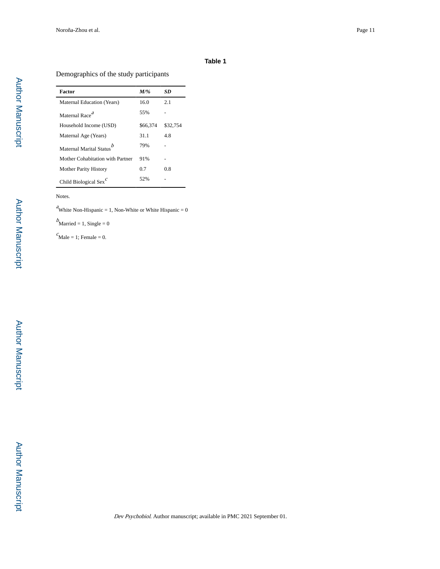#### **Table 1**

#### Demographics of the study participants

| Factor                               | $M/\%$   | SD       |
|--------------------------------------|----------|----------|
| Maternal Education (Years)           | 16.0     | 2.1      |
| Maternal Race <sup>a</sup>           | 55%      |          |
| Household Income (USD)               | \$66,374 | \$32,754 |
| Maternal Age (Years)                 | 31.1     | 48       |
| Maternal Marital Status <sup>b</sup> | 79%      |          |
| Mother Cohabitation with Partner     | 91%      |          |
| <b>Mother Parity History</b>         | 0.7      | 08       |
| Child Biological Sex $\epsilon$      | 52%      |          |

#### Notes.

<sup>a</sup>White Non-Hispanic = 1, Non-White or White Hispanic = 0

 $b$ Married = 1, Single = 0

 $c<sub>Male</sub> = 1$ ; Female = 0.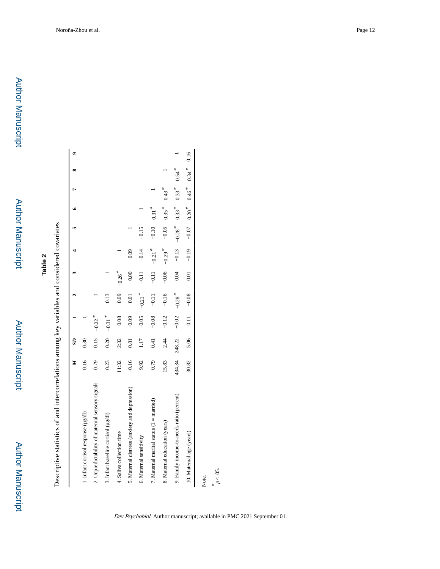Author Manuscript

**Author Manuscript** 

Descriptive statistics of and intercorrelations among key variables and considered covariates Descriptive statistics of and intercorrelations among key variables and considered covariates

|                                                 | Z       | $\mathbf{S}$ |                      |                      |                      |                      |         |                           |                     |                     |      |
|-------------------------------------------------|---------|--------------|----------------------|----------------------|----------------------|----------------------|---------|---------------------------|---------------------|---------------------|------|
| 1. Infant cortisol response (µg/dl)             | 0.16    | 0.30         |                      |                      |                      |                      |         |                           |                     |                     |      |
| 2. Unpredictability of maternal sensory signals | 0.79    | 0.15         | $-0.22$ <sup>*</sup> |                      |                      |                      |         |                           |                     |                     |      |
| 3. Infant baseline cortisol (µg/dl)             | 0.23    | 0.20         | $-0.31$ <sup>*</sup> | 0.13                 |                      |                      |         |                           |                     |                     |      |
| 4. Saliva collection time                       | 11:32   | 2:32         | 0.08                 | 0.09                 | $-0.26$ <sup>*</sup> |                      |         |                           |                     |                     |      |
| 5. Maternal distress (anxiety and depression)   | $-0.16$ | 0.81         | $-0.09$              | 0.01                 | 0.00                 | 0.09                 |         |                           |                     |                     |      |
| 6. Maternal sensitivity                         | 9.92    | 1.17         | $-0.05$              | $-0.21$ <sup>*</sup> | $-0.11$              | $-0.14$              | $-0.15$ |                           |                     |                     |      |
| 7. Maternal marital status $(1 =$ married)      | 0.79    | 0.41         | $-0.08$              | $-0.11$              | $-0.11$              | $-0.21$ <sup>*</sup> | $-0.10$ | $0.31$ <sup>*</sup>       |                     |                     |      |
| 8. Maternal education (years)                   | 15.83   | 2.44         | $-0.12$              | $-0.16$              | $-0.06$              | $-0.29$ <sup>*</sup> | $-0.05$ | $0.35$ <sup>*</sup>       | $0.43$ <sup>*</sup> |                     |      |
| 9. Family income-to-needs ratio (percent)       | 434.34  | 248.22       | $-0.02$              | $-0.28$ <sup>*</sup> | 0.04                 | $-0.13$              |         | $-0.28$ $0.33$ $*$        | $0.33*$             | $0.54$ <sup>*</sup> |      |
| 10. Maternal age (years)                        | 30.82   | 5.06         | 0.11                 | $-0.08$              | 0.01                 | $-0.19$              |         | $-0.07$ $0.20$ $0.46$ $*$ |                     | $0.34$ <sup>*</sup> | 0.16 |
| Note.                                           |         |              |                      |                      |                      |                      |         |                           |                     |                     |      |

\*<br> $p < .05$ .